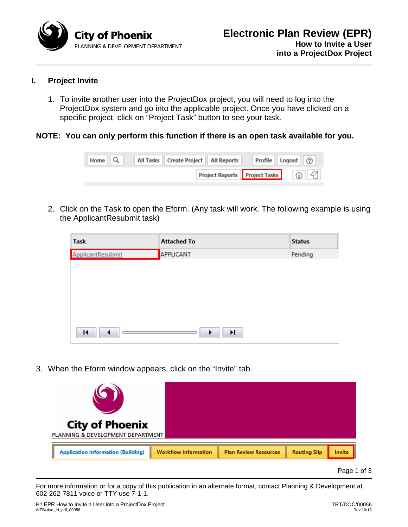

# **I. Project Invite**

1. To invite another user into the ProjectDox project, you will need to log into the ProjectDox system and go into the applicable project. Once you have clicked on a specific project, click on "Project Task" button to see your task.

# **NOTE: You can only perform this function if there is an open task available for you.**



2. Click on the Task to open the Eform. (Any task will work. The following example is using the ApplicantResubmit task)

| Task              | <b>Attached To</b> | <b>Status</b> |
|-------------------|--------------------|---------------|
| ApplicantResubmit | APPLICANT          | Pending       |
|                   |                    |               |
|                   |                    |               |
|                   |                    |               |
|                   |                    |               |
|                   |                    |               |
| н                 | H.<br>▶            |               |

3. When the Eform window appears, click on the "Invite" tab.



Page 1 of 3

For more information or for a copy of this publication in an alternate format, contact Planning & Development at 602-262-7811 voice or TTY use 7-1-1.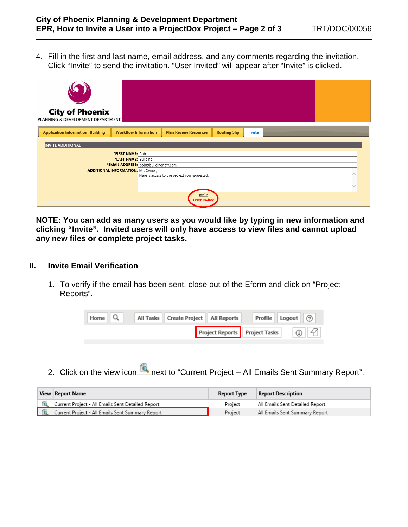4. Fill in the first and last name, email address, and any comments regarding the invitation. Click "Invite" to send the invitation. "User Invited" will appear after "Invite" is clicked.

| <b>City of Phoenix</b><br>PLANNING & DEVELOPMENT DEPARTMENT                                                                               |  |  |  |
|-------------------------------------------------------------------------------------------------------------------------------------------|--|--|--|
| <b>Application Information (Building)</b><br><b>Workflow Information</b><br><b>Plan Review Resources</b><br><b>Routing Slip</b><br>Invite |  |  |  |
| <b>INVITE ADDITIONAL</b>                                                                                                                  |  |  |  |
| *FIRST NAME: Bob                                                                                                                          |  |  |  |
| *LAST NAME: Building                                                                                                                      |  |  |  |
| *EMAIL ADDRESS: bob@buildingnew.com                                                                                                       |  |  |  |
| <b>ADDITIONAL INFORMATION:</b> Mr. Owner,                                                                                                 |  |  |  |
| Here is access to the project you requested.                                                                                              |  |  |  |
|                                                                                                                                           |  |  |  |
|                                                                                                                                           |  |  |  |
| Invite<br><b>User Invited</b>                                                                                                             |  |  |  |

**NOTE: You can add as many users as you would like by typing in new information and clicking "Invite". Invited users will only have access to view files and cannot upload any new files or complete project tasks.**

### **II. Invite Email Verification**

1. To verify if the email has been sent, close out of the Eform and click on "Project Reports".

| Home $\  Q$ | All Tasks   Create Project   All Reports |                               | Profile Logout (?)                |
|-------------|------------------------------------------|-------------------------------|-----------------------------------|
|             |                                          | Project Reports Project Tasks | $\left  \right $ $\left  \right $ |

2. Click on the view icon **the next to "Current Project – All Emails Sent Summary Report".** 

| View   Report Name                                | <b>Report Type</b> | Report Description              |
|---------------------------------------------------|--------------------|---------------------------------|
| Current Project - All Emails Sent Detailed Report | Project            | All Emails Sent Detailed Report |
| Current Project - All Emails Sent Summary Report  | Project            | All Emails Sent Summary Report  |